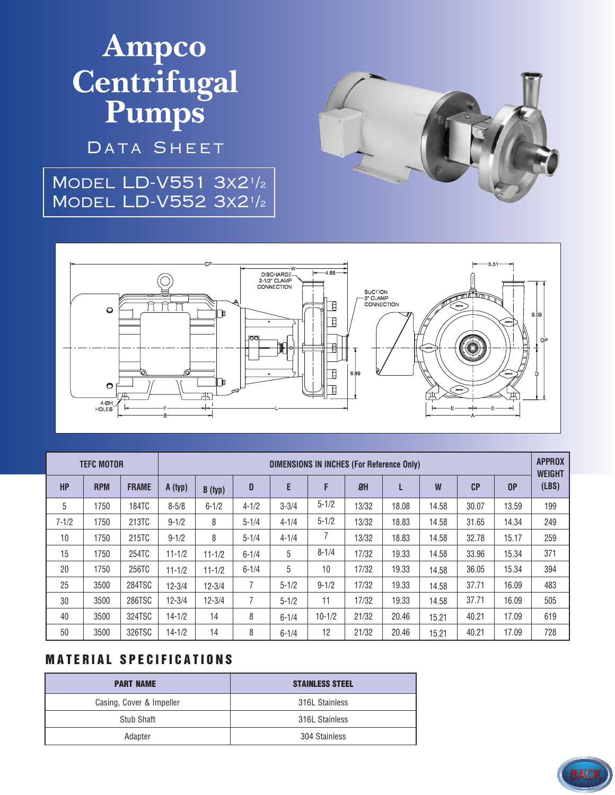# Ampco **Centrifugal<br>Pumps**

DATA SHEET

### MODEL LD-V551 3x21/2 MODEL LD-V552 3x21/2





| <b>TEFC MOTOR</b> |            |              | <b>DIMENSIONS IN INCHES (For Reference Only)</b> |            |           |           |            |       |       |       |                |       | <b>APPROX</b><br><b>WEIGHT</b> |
|-------------------|------------|--------------|--------------------------------------------------|------------|-----------|-----------|------------|-------|-------|-------|----------------|-------|--------------------------------|
| <b>HP</b>         | <b>RPM</b> | <b>FRAME</b> | A (typ)                                          | B(typ)     | D         | E         | F          | $B$ H | L     | W     | C <sub>P</sub> | 0P    | (LBS)                          |
| 5                 | 1750       | 184TC        | $8 - 5/8$                                        | $6 - 1/2$  | $4 - 1/2$ | $3 - 3/4$ | $5 - 1/2$  | 13/32 | 18.08 | 14.58 | 30.07          | 13.59 | 199                            |
| $7 - 1/2$         | 1750       | 213TC        | $9 - 1/2$                                        | 8          | $5 - 1/4$ | $4 - 1/4$ | $5 - 1/2$  | 13/32 | 18.83 | 14.58 | 31.65          | 14.34 | 249                            |
| 10                | 1750       | 215TC        | $9 - 1/2$                                        | 8          | $5 - 1/4$ | $4 - 1/4$ |            | 13/32 | 18.83 | 14.58 | 32.78          | 15.17 | 259                            |
| 15                | 1750       | 254TC        | $11 - 1/2$                                       | $11 - 1/2$ | $6 - 1/4$ | 5         | $8 - 1/4$  | 17/32 | 19.33 | 14.58 | 33.96          | 15.34 | 371                            |
| 20                | 1750       | 256TC        | $11 - 1/2$                                       | $11 - 1/2$ | $6 - 1/4$ | 5         | 10         | 17/32 | 19.33 | 14.58 | 36.05          | 15.34 | 394                            |
| 25                | 3500       | 284TSC       | $12 - 3/4$                                       | $12 - 3/4$ | 7         | $5 - 1/2$ | $9 - 1/2$  | 17/32 | 19.33 | 14.58 | 37.71          | 16.09 | 483                            |
| 30                | 3500       | 286TSC       | $12 - 3/4$                                       | $12 - 3/4$ | 7         | $5 - 1/2$ | 11         | 17/32 | 19.33 | 14.58 | 37.71          | 16.09 | 505                            |
| 40                | 3500       | 324TSC       | $14 - 1/2$                                       | 14         | 8         | $6 - 1/4$ | $10 - 1/2$ | 21/32 | 20.46 | 15.21 | 40.21          | 17.09 | 619                            |
| 50                | 3500       | 326TSC       | $14 - 1/2$                                       | 14         | 8         | $6 - 1/4$ | 12         | 21/32 | 20.46 | 15.21 | 40.21          | 17.09 | 728                            |

#### **MATERIAL SPECIFICATIONS**

| <b>PART NAME</b>         | <b>STAINLESS STEEL</b> |  |  |  |
|--------------------------|------------------------|--|--|--|
| Casing, Cover & Impeller | 316L Stainless         |  |  |  |
| Stub Shaft               | 316L Stainless         |  |  |  |
| Adapter                  | 304 Stainless          |  |  |  |